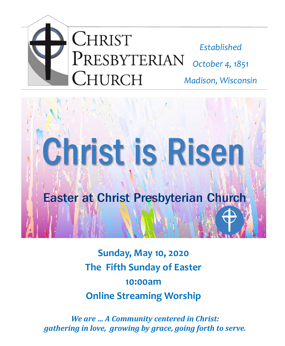



**Sunday, May 10, 2020 The Fifth Sunday of Easter 10:00am Online Streaming Worship**

*We are … A Community centered in Christ: gathering in love, growing by grace, going forth to serve.*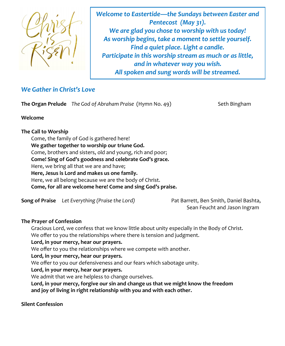

*Welcome to Eastertide—the Sundays between Easter and Pentecost (May 31). We are glad you chose to worship with us today! As worship begins, take a moment to settle yourself. Find a quiet place. Light a candle. Participate in this worship stream as much or as little, and in whatever way you wish. All spoken and sung words will be streamed.* 

# *We Gather in Christ's Love*

**The Organ Prelude** The God of Abraham Praise (Hymn No. 49) Seth Bingham

### **Welcome**

### **The Call to Worship**

Come, the family of God is gathered here! **We gather together to worship our triune God.** Come, brothers and sisters, old and young, rich and poor; **Come! Sing of God's goodness and celebrate God's grace.** Here, we bring all that we are and have; **Here, Jesus is Lord and makes us one family.** Here, we all belong because we are the body of Christ. **Come, for all are welcome here! Come and sing God's praise.**

**Song of Praise** *Let Everything (Praise the Lord)* Pat Barrett, Ben Smith, Daniel Bashta,

Sean Feucht and Jason Ingram

## **The Prayer of Confession**

Gracious Lord, we confess that we know little about unity especially in the Body of Christ. We offer to you the relationships where there is tension and judgment.

## **Lord, in your mercy, hear our prayers.**

We offer to you the relationships where we compete with another.

**Lord, in your mercy, hear our prayers.**

We offer to you our defensiveness and our fears which sabotage unity.

**Lord, in your mercy, hear our prayers.**

We admit that we are helpless to change ourselves.

**Lord, in your mercy, forgive our sin and change us that we might know the freedom and joy of living in right relationship with you and with each other.**

## **Silent Confession**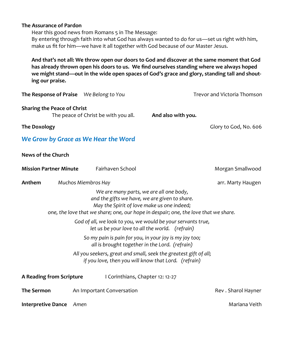#### **The Assurance of Pardon**

Hear this good news from Romans 5 in The Message: By entering through faith into what God has always wanted to do for us—set us right with him, make us fit for him—we have it all together with God because of our Master Jesus.

**And that's not all: We throw open our doors to God and discover at the same moment that God has already thrown open his doors to us. We find ourselves standing where we always hoped we might stand—out in the wide open spaces of God's grace and glory, standing tall and shouting our praise.**

| The Response of Praise We Belong to You |                                                                                                                                        |                                                                                                                          | Trevor and Victoria Thomson |
|-----------------------------------------|----------------------------------------------------------------------------------------------------------------------------------------|--------------------------------------------------------------------------------------------------------------------------|-----------------------------|
| <b>Sharing the Peace of Christ</b>      | The peace of Christ be with you all.                                                                                                   | And also with you.                                                                                                       |                             |
| <b>The Doxology</b>                     |                                                                                                                                        |                                                                                                                          | Glory to God, No. 606       |
|                                         | We Grow by Grace as We Hear the Word                                                                                                   |                                                                                                                          |                             |
| News of the Church                      |                                                                                                                                        |                                                                                                                          |                             |
| <b>Mission Partner Minute</b>           | Fairhaven School                                                                                                                       |                                                                                                                          | Morgan Smallwood            |
| Anthem                                  | Muchos Miembros Hay                                                                                                                    |                                                                                                                          | arr. Marty Haugen           |
|                                         | We are many parts, we are all one body,<br>and the gifts we have, we are given to share.<br>May the Spirit of love make us one indeed; | one, the love that we share; one, our hope in despair; one, the love that we share.                                      |                             |
|                                         | let us be your love to all the world. (refrain)                                                                                        | God of all, we look to you, we would be your servants true,                                                              |                             |
|                                         | So my pain is pain for you, in your joy is my joy too;<br>all is brought together in the Lord. (refrain)                               |                                                                                                                          |                             |
|                                         |                                                                                                                                        | All you seekers, great and small, seek the greatest gift of all;<br>if you love, then you will know that Lord. (refrain) |                             |
| <b>A Reading from Scripture</b>         | I Corinthians, Chapter 12: 12-27                                                                                                       |                                                                                                                          |                             |
| <b>The Sermon</b>                       | An Important Conversation                                                                                                              |                                                                                                                          | Rev . Sharol Hayner         |
| <b>Interpretive Dance</b>               | Amen                                                                                                                                   |                                                                                                                          | Mariana Veith               |